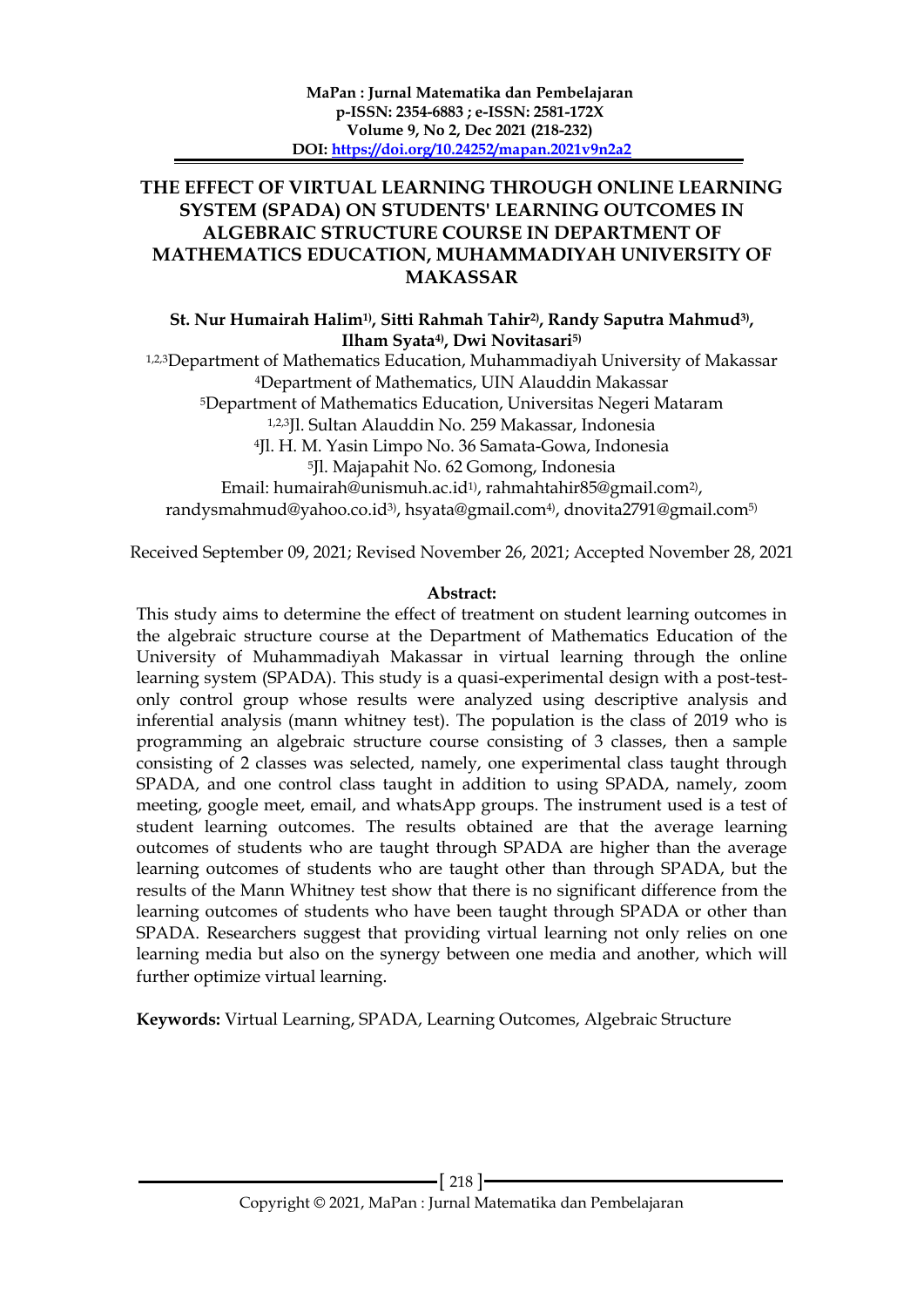# **THE EFFECT OF VIRTUAL LEARNING THROUGH ONLINE LEARNING SYSTEM (SPADA) ON STUDENTS' LEARNING OUTCOMES IN ALGEBRAIC STRUCTURE COURSE IN DEPARTMENT OF MATHEMATICS EDUCATION, MUHAMMADIYAH UNIVERSITY OF MAKASSAR**

**St. Nur Humairah Halim1) , Sitti Rahmah Tahir2) , Randy Saputra Mahmud3) , Ilham Syata4), Dwi Novitasari5)**

1,2,3Department of Mathematics Education, Muhammadiyah University of Makassar <sup>4</sup>Department of Mathematics, UIN Alauddin Makassar <sup>5</sup>Department of Mathematics Education, Universitas Negeri Mataram 1,2,3Jl. Sultan Alauddin No. 259 Makassar, Indonesia <sup>4</sup>Jl. H. M. Yasin Limpo No. 36 Samata-Gowa, Indonesia <sup>5</sup>Jl. Majapahit No. 62 Gomong, Indonesia Email: humairah@unismuh.ac.id1) , rahmahtahir85@gmail.com2) , randysmahmud@yahoo.co.id3), hsyata@gmail.com4), dnovita2791@gmail.com5)

Received September 09, 2021; Revised November 26, 2021; Accepted November 28, 2021

### **Abstract:**

This study aims to determine the effect of treatment on student learning outcomes in the algebraic structure course at the Department of Mathematics Education of the University of Muhammadiyah Makassar in virtual learning through the online learning system (SPADA). This study is a quasi-experimental design with a post-testonly control group whose results were analyzed using descriptive analysis and inferential analysis (mann whitney test). The population is the class of 2019 who is programming an algebraic structure course consisting of 3 classes, then a sample consisting of 2 classes was selected, namely, one experimental class taught through SPADA, and one control class taught in addition to using SPADA, namely, zoom meeting, google meet, email, and whatsApp groups. The instrument used is a test of student learning outcomes. The results obtained are that the average learning outcomes of students who are taught through SPADA are higher than the average learning outcomes of students who are taught other than through SPADA, but the results of the Mann Whitney test show that there is no significant difference from the learning outcomes of students who have been taught through SPADA or other than SPADA. Researchers suggest that providing virtual learning not only relies on one learning media but also on the synergy between one media and another, which will further optimize virtual learning.

**Keywords:** Virtual Learning, SPADA, Learning Outcomes, Algebraic Structure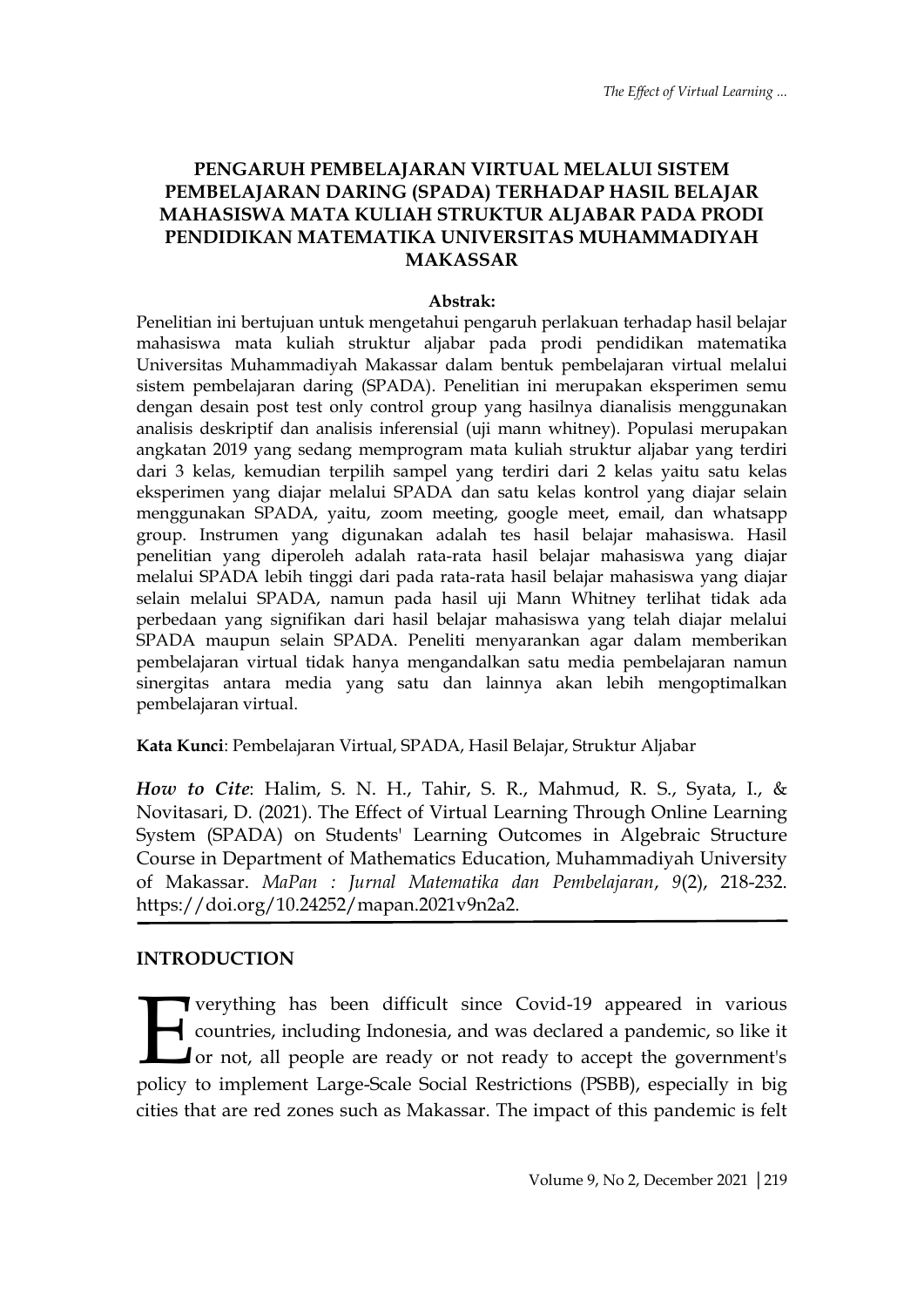# **PENGARUH PEMBELAJARAN VIRTUAL MELALUI SISTEM PEMBELAJARAN DARING (SPADA) TERHADAP HASIL BELAJAR MAHASISWA MATA KULIAH STRUKTUR ALJABAR PADA PRODI PENDIDIKAN MATEMATIKA UNIVERSITAS MUHAMMADIYAH MAKASSAR**

### **Abstrak:**

Penelitian ini bertujuan untuk mengetahui pengaruh perlakuan terhadap hasil belajar mahasiswa mata kuliah struktur aljabar pada prodi pendidikan matematika Universitas Muhammadiyah Makassar dalam bentuk pembelajaran virtual melalui sistem pembelajaran daring (SPADA). Penelitian ini merupakan eksperimen semu dengan desain post test only control group yang hasilnya dianalisis menggunakan analisis deskriptif dan analisis inferensial (uji mann whitney). Populasi merupakan angkatan 2019 yang sedang memprogram mata kuliah struktur aljabar yang terdiri dari 3 kelas, kemudian terpilih sampel yang terdiri dari 2 kelas yaitu satu kelas eksperimen yang diajar melalui SPADA dan satu kelas kontrol yang diajar selain menggunakan SPADA, yaitu, zoom meeting, google meet, email, dan whatsapp group. Instrumen yang digunakan adalah tes hasil belajar mahasiswa. Hasil penelitian yang diperoleh adalah rata-rata hasil belajar mahasiswa yang diajar melalui SPADA lebih tinggi dari pada rata-rata hasil belajar mahasiswa yang diajar selain melalui SPADA, namun pada hasil uji Mann Whitney terlihat tidak ada perbedaan yang signifikan dari hasil belajar mahasiswa yang telah diajar melalui SPADA maupun selain SPADA. Peneliti menyarankan agar dalam memberikan pembelajaran virtual tidak hanya mengandalkan satu media pembelajaran namun sinergitas antara media yang satu dan lainnya akan lebih mengoptimalkan pembelajaran virtual.

## **Kata Kunci**: Pembelajaran Virtual, SPADA, Hasil Belajar, Struktur Aljabar

*How to Cite*: Halim, S. N. H., Tahir, S. R., Mahmud, R. S., Syata, I., & Novitasari, D. (2021). The Effect of Virtual Learning Through Online Learning System (SPADA) on Students' Learning Outcomes in Algebraic Structure Course in Department of Mathematics Education, Muhammadiyah University of Makassar. *MaPan : Jurnal Matematika dan Pembelajaran*, *9*(2), 218-232. https://doi.org/10.24252/mapan.2021v9n2a2.

# **INTRODUCTION**

**T** verything has been difficult since Covid-19 appeared in various countries, including Indonesia, and was declared a pandemic, so like it or not, all people are ready or not ready to accept the government's **Policy is a starting to implement** Large-Scale Social Restrictions (PSBB), especially in big and was declared a pandemic, so like it or not, all people are ready or not ready to accept the government's policy to implement cities that are red zones such as Makassar. The impact of this pandemic is felt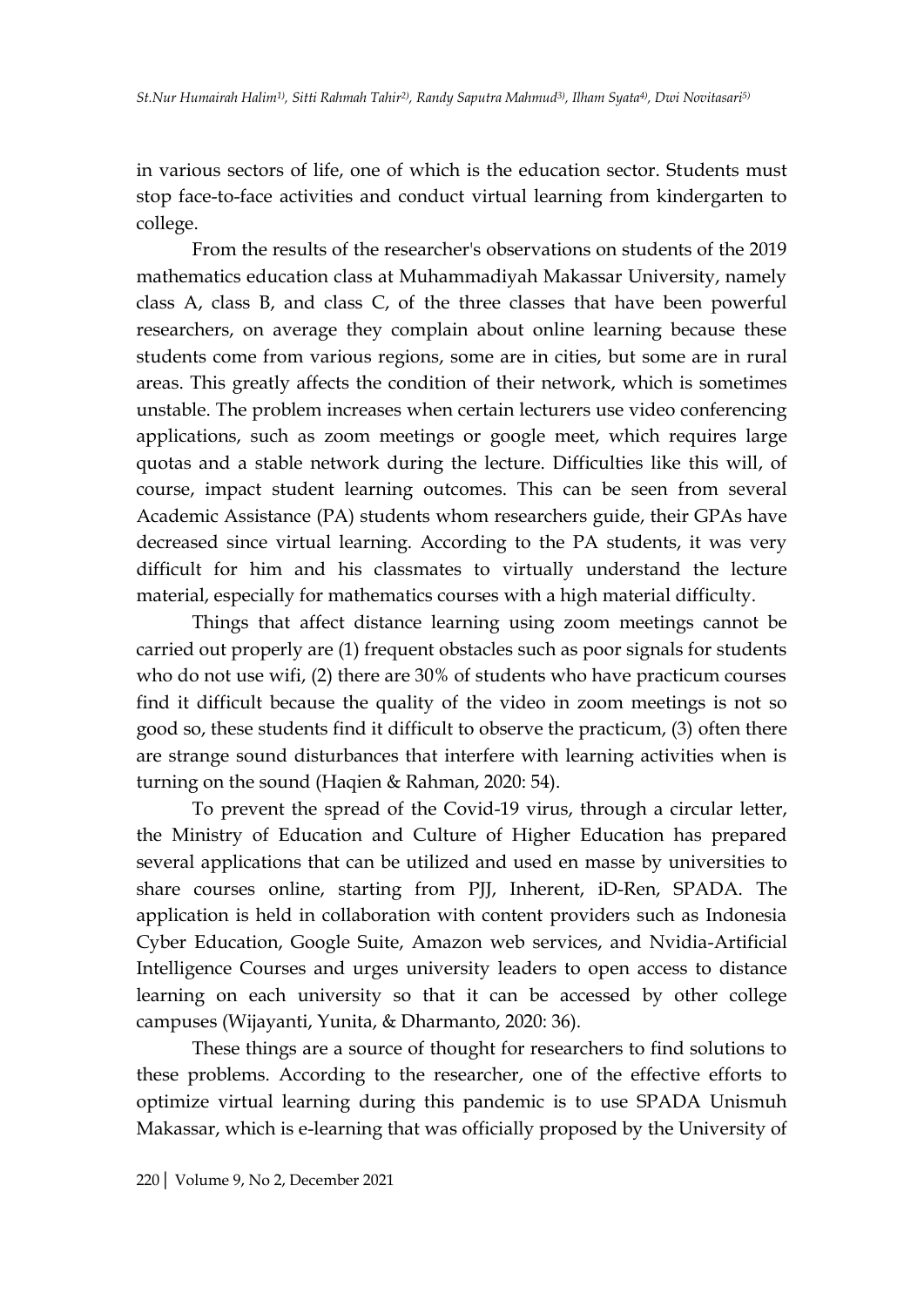in various sectors of life, one of which is the education sector. Students must stop face-to-face activities and conduct virtual learning from kindergarten to college.

From the results of the researcher's observations on students of the 2019 mathematics education class at Muhammadiyah Makassar University, namely class A, class B, and class C, of the three classes that have been powerful researchers, on average they complain about online learning because these students come from various regions, some are in cities, but some are in rural areas. This greatly affects the condition of their network, which is sometimes unstable. The problem increases when certain lecturers use video conferencing applications, such as zoom meetings or google meet, which requires large quotas and a stable network during the lecture. Difficulties like this will, of course, impact student learning outcomes. This can be seen from several Academic Assistance (PA) students whom researchers guide, their GPAs have decreased since virtual learning. According to the PA students, it was very difficult for him and his classmates to virtually understand the lecture material, especially for mathematics courses with a high material difficulty.

Things that affect distance learning using zoom meetings cannot be carried out properly are (1) frequent obstacles such as poor signals for students who do not use wifi, (2) there are 30% of students who have practicum courses find it difficult because the quality of the video in zoom meetings is not so good so, these students find it difficult to observe the practicum, (3) often there are strange sound disturbances that interfere with learning activities when is turning on the sound (Haqien & Rahman, 2020: 54).

To prevent the spread of the Covid-19 virus, through a circular letter, the Ministry of Education and Culture of Higher Education has prepared several applications that can be utilized and used en masse by universities to share courses online, starting from PJJ, Inherent, iD-Ren, SPADA. The application is held in collaboration with content providers such as Indonesia Cyber Education, Google Suite, Amazon web services, and Nvidia-Artificial Intelligence Courses and urges university leaders to open access to distance learning on each university so that it can be accessed by other college campuses (Wijayanti, Yunita, & Dharmanto, 2020: 36).

These things are a source of thought for researchers to find solutions to these problems. According to the researcher, one of the effective efforts to optimize virtual learning during this pandemic is to use SPADA Unismuh Makassar, which is e-learning that was officially proposed by the University of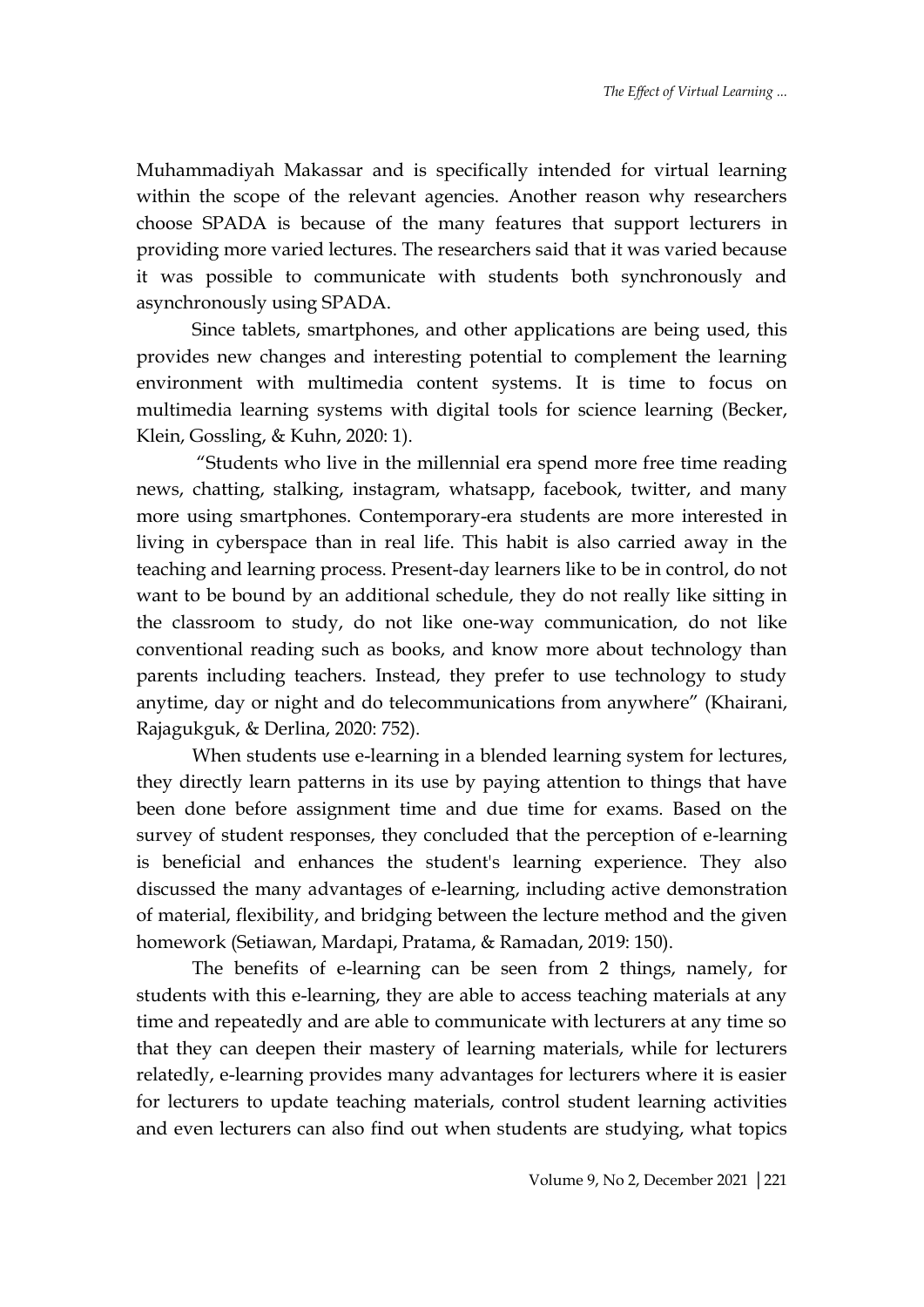Muhammadiyah Makassar and is specifically intended for virtual learning within the scope of the relevant agencies. Another reason why researchers choose SPADA is because of the many features that support lecturers in providing more varied lectures. The researchers said that it was varied because it was possible to communicate with students both synchronously and asynchronously using SPADA.

Since tablets, smartphones, and other applications are being used, this provides new changes and interesting potential to complement the learning environment with multimedia content systems. It is time to focus on multimedia learning systems with digital tools for science learning (Becker, Klein, Gossling, & Kuhn, 2020: 1).

"Students who live in the millennial era spend more free time reading news, chatting, stalking, instagram, whatsapp, facebook, twitter, and many more using smartphones. Contemporary-era students are more interested in living in cyberspace than in real life. This habit is also carried away in the teaching and learning process. Present-day learners like to be in control, do not want to be bound by an additional schedule, they do not really like sitting in the classroom to study, do not like one-way communication, do not like conventional reading such as books, and know more about technology than parents including teachers. Instead, they prefer to use technology to study anytime, day or night and do telecommunications from anywhere" (Khairani, Rajagukguk, & Derlina, 2020: 752).

When students use e-learning in a blended learning system for lectures, they directly learn patterns in its use by paying attention to things that have been done before assignment time and due time for exams. Based on the survey of student responses, they concluded that the perception of e-learning is beneficial and enhances the student's learning experience. They also discussed the many advantages of e-learning, including active demonstration of material, flexibility, and bridging between the lecture method and the given homework (Setiawan, Mardapi, Pratama, & Ramadan, 2019: 150).

The benefits of e-learning can be seen from 2 things, namely, for students with this e-learning, they are able to access teaching materials at any time and repeatedly and are able to communicate with lecturers at any time so that they can deepen their mastery of learning materials, while for lecturers relatedly, e-learning provides many advantages for lecturers where it is easier for lecturers to update teaching materials, control student learning activities and even lecturers can also find out when students are studying, what topics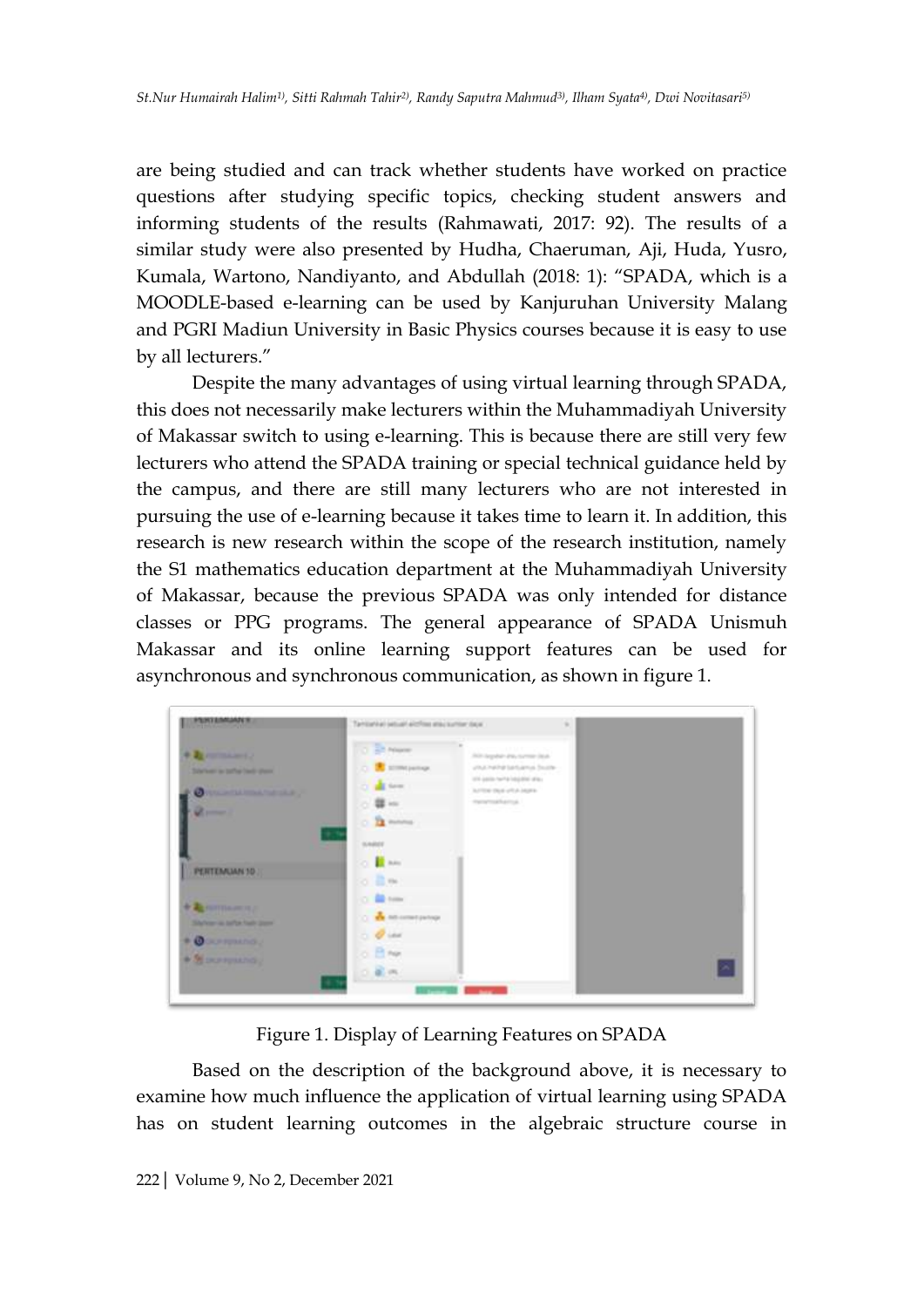are being studied and can track whether students have worked on practice questions after studying specific topics, checking student answers and informing students of the results (Rahmawati, 2017: 92). The results of a similar study were also presented by Hudha, Chaeruman, Aji, Huda, Yusro, Kumala, Wartono, Nandiyanto, and Abdullah (2018: 1): "SPADA, which is a MOODLE-based e-learning can be used by Kanjuruhan University Malang and PGRI Madiun University in Basic Physics courses because it is easy to use by all lecturers."

Despite the many advantages of using virtual learning through SPADA, this does not necessarily make lecturers within the Muhammadiyah University of Makassar switch to using e-learning. This is because there are still very few lecturers who attend the SPADA training or special technical guidance held by the campus, and there are still many lecturers who are not interested in pursuing the use of e-learning because it takes time to learn it. In addition, this research is new research within the scope of the research institution, namely the S1 mathematics education department at the Muhammadiyah University of Makassar, because the previous SPADA was only intended for distance classes or PPG programs. The general appearance of SPADA Unismuh Makassar and its online learning support features can be used for asynchronous and synchronous communication, as shown in figure 1.

| <b>PERIMENTAL</b>                                                                                                     | Taminehal setuah alcrites atau surtor days:<br>$\frac{1}{2} \left( \frac{1}{2} \right) \left( \frac{1}{2} \right) \left( \frac{1}{2} \right)$                                                                                                    |  |
|-----------------------------------------------------------------------------------------------------------------------|--------------------------------------------------------------------------------------------------------------------------------------------------------------------------------------------------------------------------------------------------|--|
| <b>Charles &amp; B</b><br>Scheinert in before hards shared<br><b>ONE AT MISSION CONTRACT</b><br>$\omega$ and $\omega$ | O 25 New<br>This deputate dray turned liteds.<br>C <b>B</b> stretpatings<br>unumene terrama bush-<br>1014 paints having lodgeblat allies.<br>O all few<br>AFTER THE USA HOTEL<br>mentsuckersal.<br>$\sim 25$<br><b>Turned St</b><br>$0.32$ mono- |  |
| PERTEMIAN 10                                                                                                          | 979<br><b>SAREF</b><br>O BAY<br>o Bm                                                                                                                                                                                                             |  |
| + The contribution of P<br>Silvinger as before hade planet<br>$+$ 0 00 mm $\sim$<br>+ Si porquano ;                   | O B tom<br>C 100 AS ANTART (WATER<br>$O$ dest<br>$0.13$ May                                                                                                                                                                                      |  |
|                                                                                                                       | $-8.01$                                                                                                                                                                                                                                          |  |

Figure 1. Display of Learning Features on SPADA

Based on the description of the background above, it is necessary to examine how much influence the application of virtual learning using SPADA has on student learning outcomes in the algebraic structure course in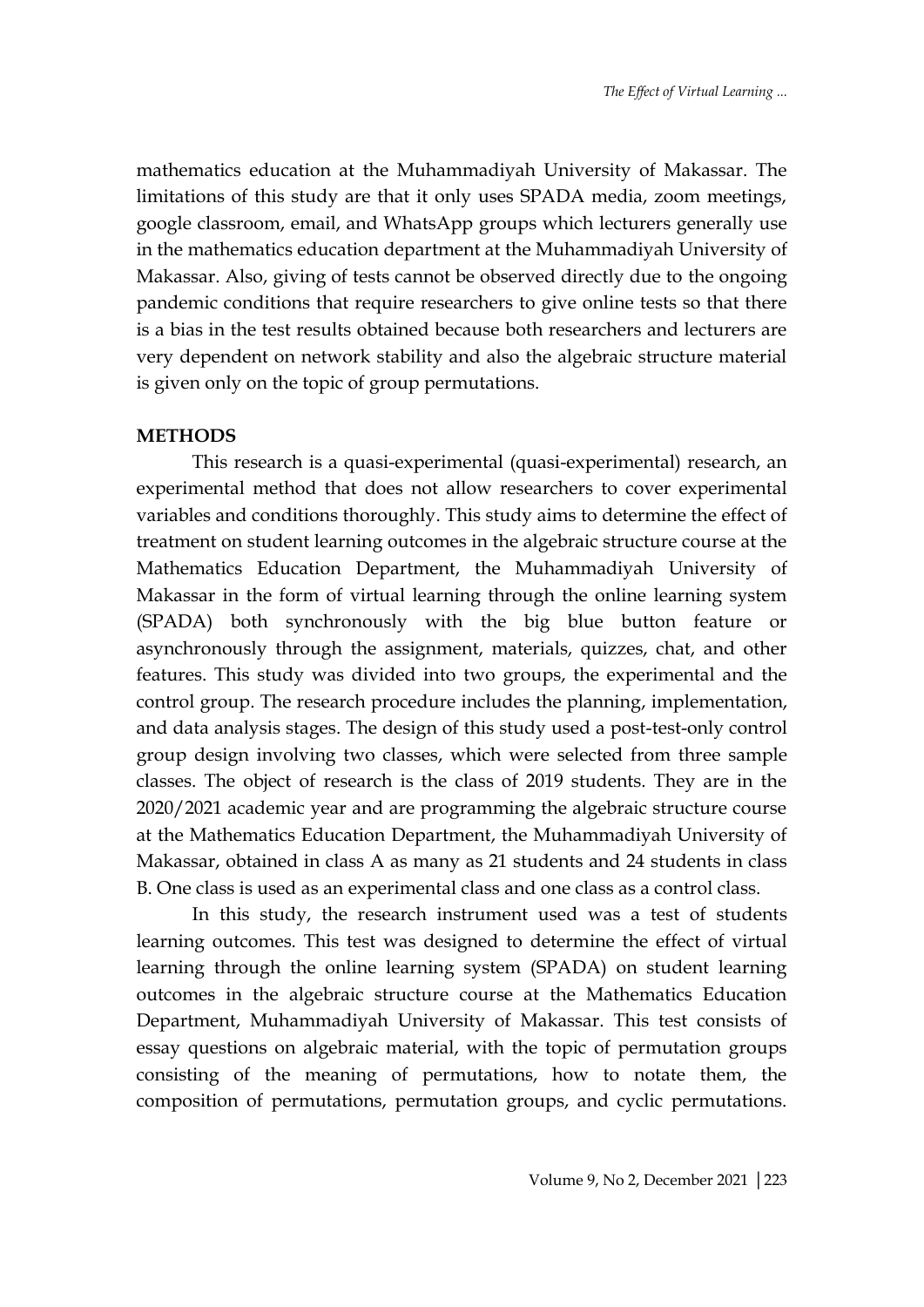mathematics education at the Muhammadiyah University of Makassar. The limitations of this study are that it only uses SPADA media, zoom meetings, google classroom, email, and WhatsApp groups which lecturers generally use in the mathematics education department at the Muhammadiyah University of Makassar. Also, giving of tests cannot be observed directly due to the ongoing pandemic conditions that require researchers to give online tests so that there is a bias in the test results obtained because both researchers and lecturers are very dependent on network stability and also the algebraic structure material is given only on the topic of group permutations.

#### **METHODS**

This research is a quasi-experimental (quasi-experimental) research, an experimental method that does not allow researchers to cover experimental variables and conditions thoroughly. This study aims to determine the effect of treatment on student learning outcomes in the algebraic structure course at the Mathematics Education Department, the Muhammadiyah University of Makassar in the form of virtual learning through the online learning system (SPADA) both synchronously with the big blue button feature or asynchronously through the assignment, materials, quizzes, chat, and other features. This study was divided into two groups, the experimental and the control group. The research procedure includes the planning, implementation, and data analysis stages. The design of this study used a post-test-only control group design involving two classes, which were selected from three sample classes. The object of research is the class of 2019 students. They are in the 2020/2021 academic year and are programming the algebraic structure course at the Mathematics Education Department, the Muhammadiyah University of Makassar, obtained in class A as many as 21 students and 24 students in class B. One class is used as an experimental class and one class as a control class.

In this study, the research instrument used was a test of students learning outcomes. This test was designed to determine the effect of virtual learning through the online learning system (SPADA) on student learning outcomes in the algebraic structure course at the Mathematics Education Department, Muhammadiyah University of Makassar. This test consists of essay questions on algebraic material, with the topic of permutation groups consisting of the meaning of permutations, how to notate them, the composition of permutations, permutation groups, and cyclic permutations.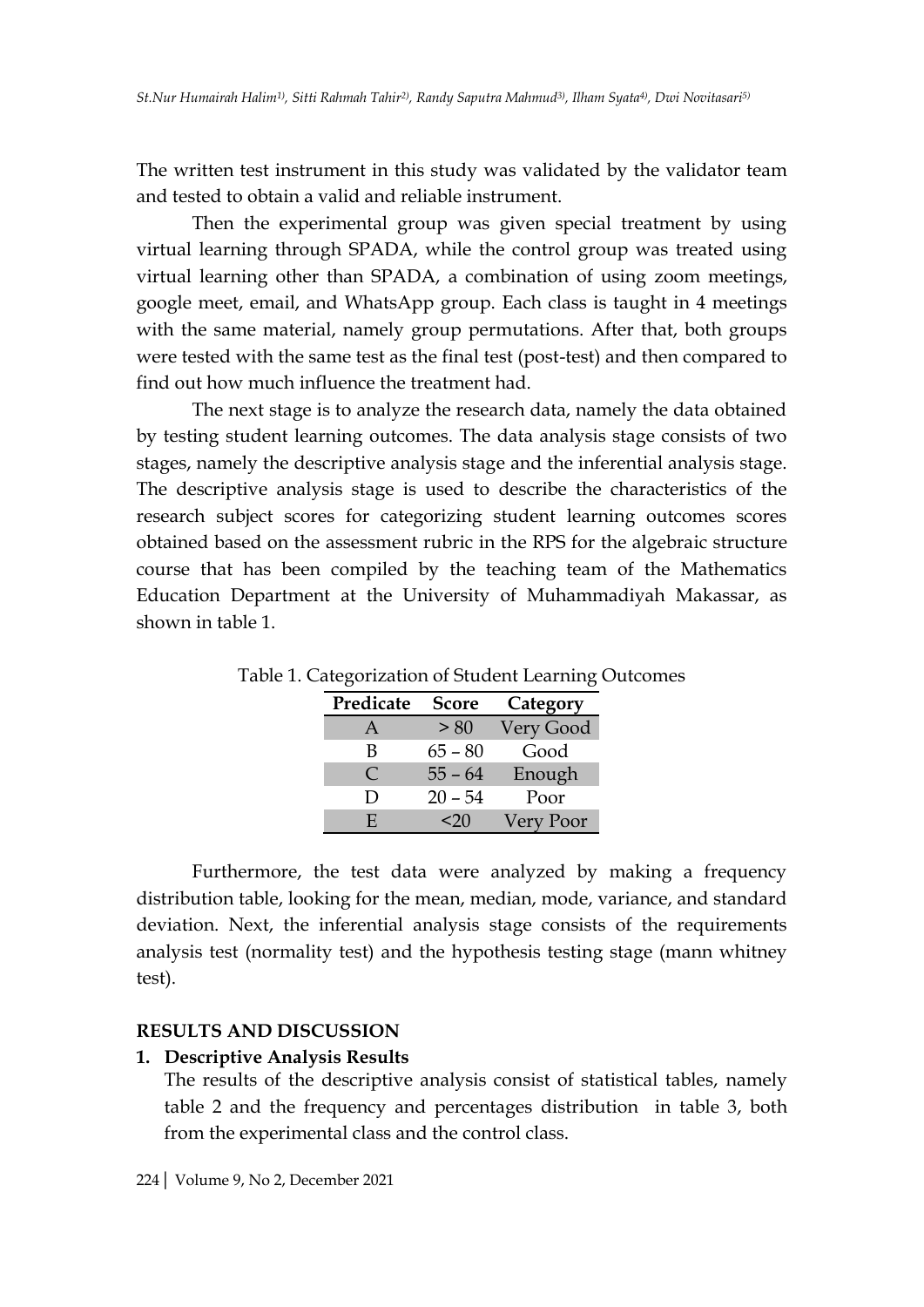The written test instrument in this study was validated by the validator team and tested to obtain a valid and reliable instrument.

Then the experimental group was given special treatment by using virtual learning through SPADA, while the control group was treated using virtual learning other than SPADA, a combination of using zoom meetings, google meet, email, and WhatsApp group. Each class is taught in 4 meetings with the same material, namely group permutations. After that, both groups were tested with the same test as the final test (post-test) and then compared to find out how much influence the treatment had.

The next stage is to analyze the research data, namely the data obtained by testing student learning outcomes. The data analysis stage consists of two stages, namely the descriptive analysis stage and the inferential analysis stage. The descriptive analysis stage is used to describe the characteristics of the research subject scores for categorizing student learning outcomes scores obtained based on the assessment rubric in the RPS for the algebraic structure course that has been compiled by the teaching team of the Mathematics Education Department at the University of Muhammadiyah Makassar, as shown in table 1.

| Predicate | <b>Score</b> | Category  |
|-----------|--------------|-----------|
| A         | > 80         | Very Good |
| В         | $65 - 80$    | Good      |
| $\bullet$ | $55 - 64$    | Enough    |
| Ð         | $20 - 54$    | Poor      |
| E.        | <20          | Very Poor |

Table 1. Categorization of Student Learning Outcomes

Furthermore, the test data were analyzed by making a frequency distribution table, looking for the mean, median, mode, variance, and standard deviation. Next, the inferential analysis stage consists of the requirements analysis test (normality test) and the hypothesis testing stage (mann whitney test).

## **RESULTS AND DISCUSSION**

### **1. Descriptive Analysis Results**

The results of the descriptive analysis consist of statistical tables, namely table 2 and the frequency and percentages distribution in table 3, both from the experimental class and the control class.

224| Volume 9, No 2, December 2021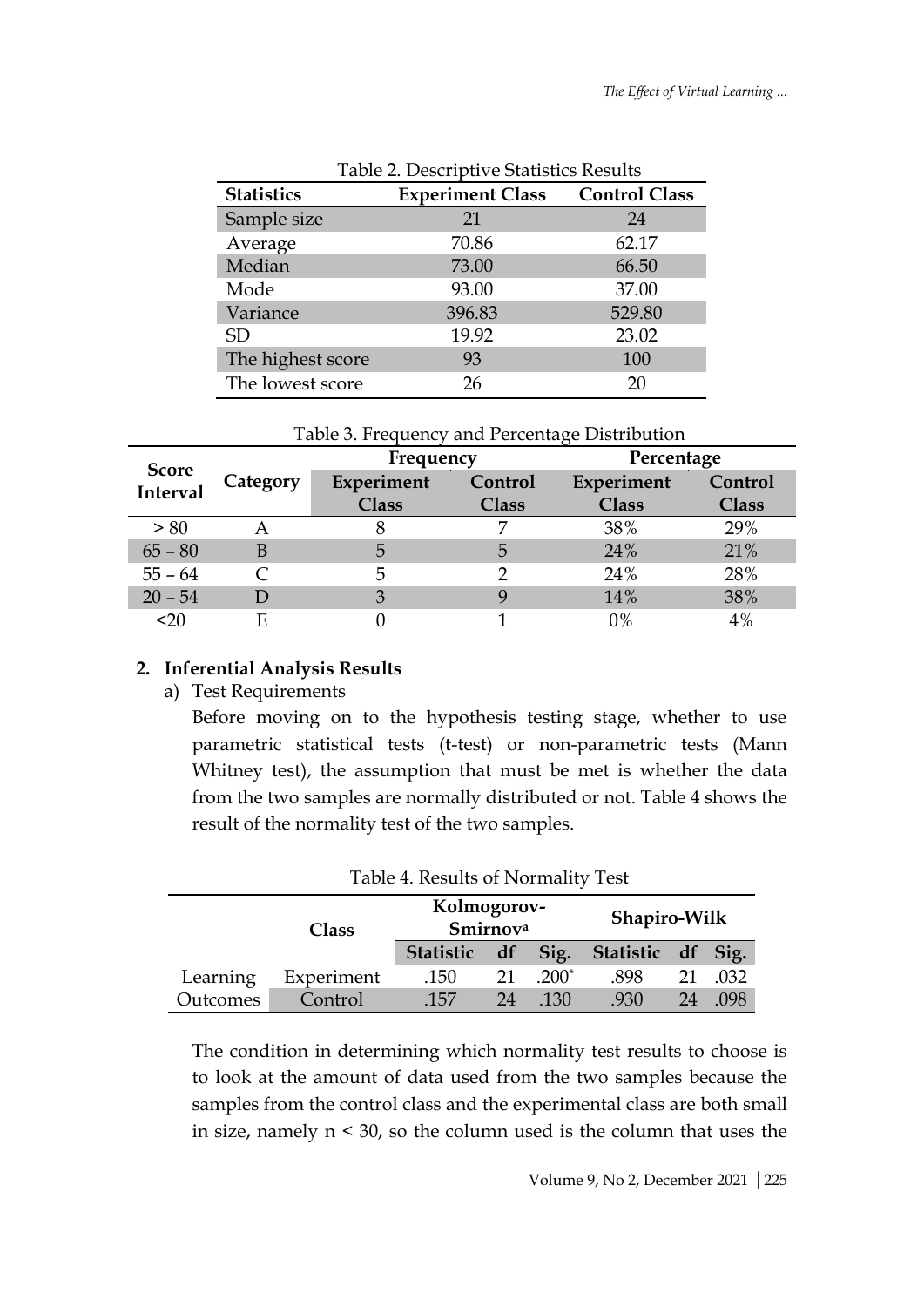|                   | Table 2. Descriptive Statistics Results |                      |  |  |  |
|-------------------|-----------------------------------------|----------------------|--|--|--|
| <b>Statistics</b> | <b>Experiment Class</b>                 | <b>Control Class</b> |  |  |  |
| Sample size       | 21                                      | 24                   |  |  |  |
| Average           | 70.86                                   | 62.17                |  |  |  |
| Median            | 73.00                                   | 66.50                |  |  |  |
| Mode              | 93.00                                   | 37.00                |  |  |  |
| Variance          | 396.83                                  | 529.80               |  |  |  |
| <b>SD</b>         | 19.92                                   | 23.02                |  |  |  |
| The highest score | 93                                      | 100                  |  |  |  |
| The lowest score  | 26                                      | 20                   |  |  |  |

| st score | --- | ----<br>__ |
|----------|-----|------------|
|          |     |            |

| Table 3. Frequency and Percentage Distribution |  |
|------------------------------------------------|--|
|------------------------------------------------|--|

|                          |          | Frequency    |              | Percentage   |         |
|--------------------------|----------|--------------|--------------|--------------|---------|
| <b>Score</b><br>Interval | Category | Experiment   | Control      | Experiment   | Control |
|                          |          | <b>Class</b> | <b>Class</b> | <b>Class</b> | Class   |
| > 80                     |          |              |              | 38%          | 29%     |
| $65 - 80$                | В        | 5            | 5            | 24%          | 21%     |
| $55 - 64$                |          | 5            |              | 24%          | 28%     |
| $20 - 54$                |          | 3            |              | 14%          | 38%     |
| $20$                     |          |              |              | $0\%$        | 4%      |

## **2. Inferential Analysis Results**

a) Test Requirements

Before moving on to the hypothesis testing stage, whether to use parametric statistical tests (t-test) or non-parametric tests (Mann Whitney test), the assumption that must be met is whether the data from the two samples are normally distributed or not. Table 4 shows the result of the normality test of the two samples.

| Table 4. Results of Normality Test |              |                         |    |         |                   |    |      |
|------------------------------------|--------------|-------------------------|----|---------|-------------------|----|------|
|                                    | <b>Class</b> | Kolmogorov-<br>Smirnova |    |         | Shapiro-Wilk      |    |      |
|                                    |              | Statistic df            |    | Sig.    | Statistic df Sig. |    |      |
| Learning                           | Experiment   | .150                    | 21 | $.200*$ | .898              | 21 | .032 |
| Outcomes                           | Control      | -157                    | 24 | .130    | .930              | 24 | .098 |

The condition in determining which normality test results to choose is to look at the amount of data used from the two samples because the samples from the control class and the experimental class are both small in size, namely n < 30, so the column used is the column that uses the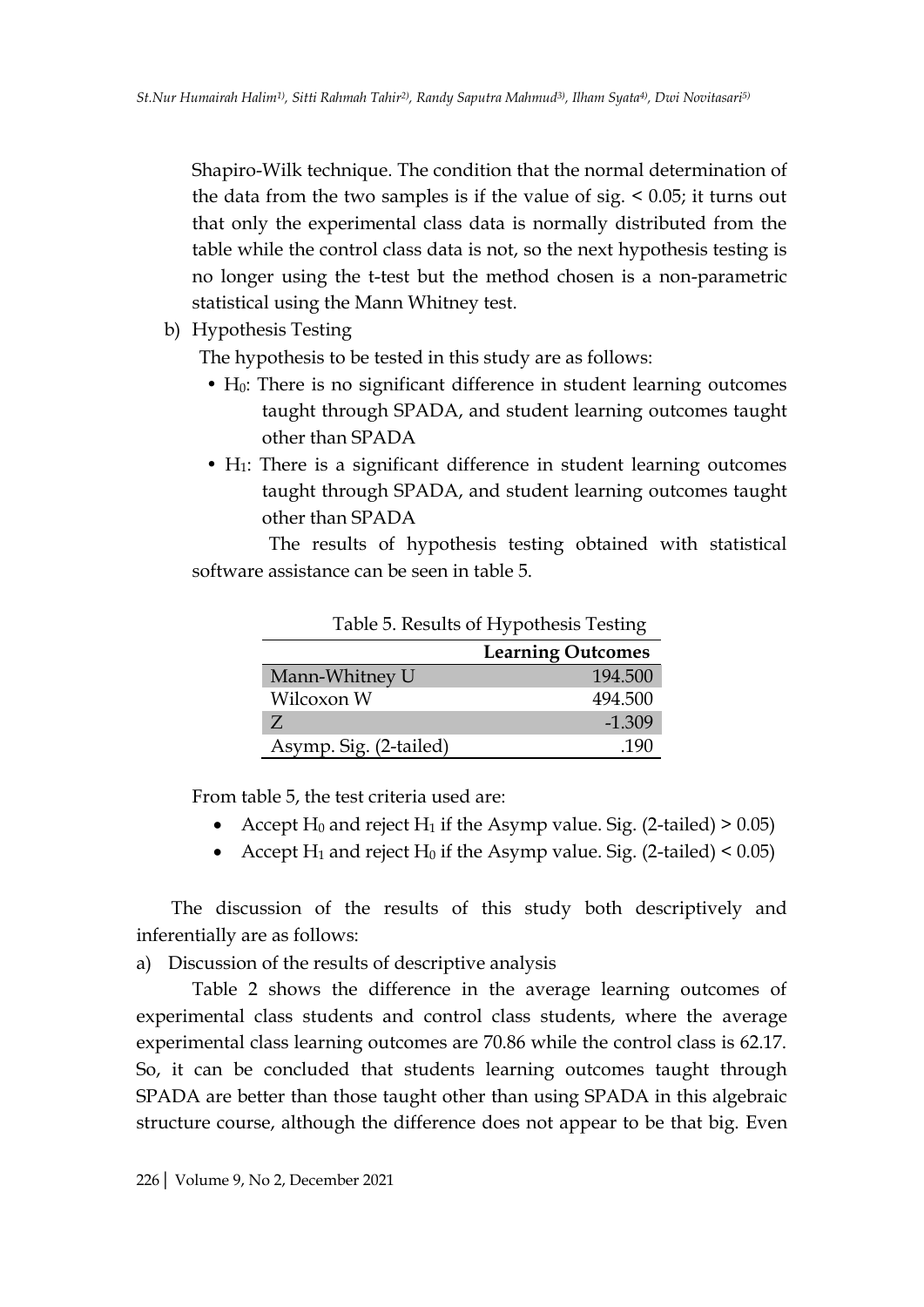Shapiro-Wilk technique. The condition that the normal determination of the data from the two samples is if the value of sig.  $< 0.05$ ; it turns out that only the experimental class data is normally distributed from the table while the control class data is not, so the next hypothesis testing is no longer using the t-test but the method chosen is a non-parametric statistical using the Mann Whitney test.

b) Hypothesis Testing

The hypothesis to be tested in this study are as follows:

- $\bullet$  H<sub>0</sub>: There is no significant difference in student learning outcomes taught through SPADA, and student learning outcomes taught other than SPADA
- H<sub>1</sub>: There is a significant difference in student learning outcomes taught through SPADA, and student learning outcomes taught other than SPADA

The results of hypothesis testing obtained with statistical software assistance can be seen in table 5.

|                        | <b>Learning Outcomes</b> |
|------------------------|--------------------------|
| Mann-Whitney U         | 194,500                  |
| Wilcoxon W             | 494.500                  |
|                        | $-1.309$                 |
| Asymp. Sig. (2-tailed) |                          |

Table 5. Results of Hypothesis Testing

From table 5, the test criteria used are:

- Accept  $H_0$  and reject  $H_1$  if the Asymp value. Sig. (2-tailed) > 0.05)
- Accept  $H_1$  and reject  $H_0$  if the Asymp value. Sig. (2-tailed) < 0.05)

The discussion of the results of this study both descriptively and inferentially are as follows:

a) Discussion of the results of descriptive analysis

Table 2 shows the difference in the average learning outcomes of experimental class students and control class students, where the average experimental class learning outcomes are 70.86 while the control class is 62.17. So, it can be concluded that students learning outcomes taught through SPADA are better than those taught other than using SPADA in this algebraic structure course, although the difference does not appear to be that big. Even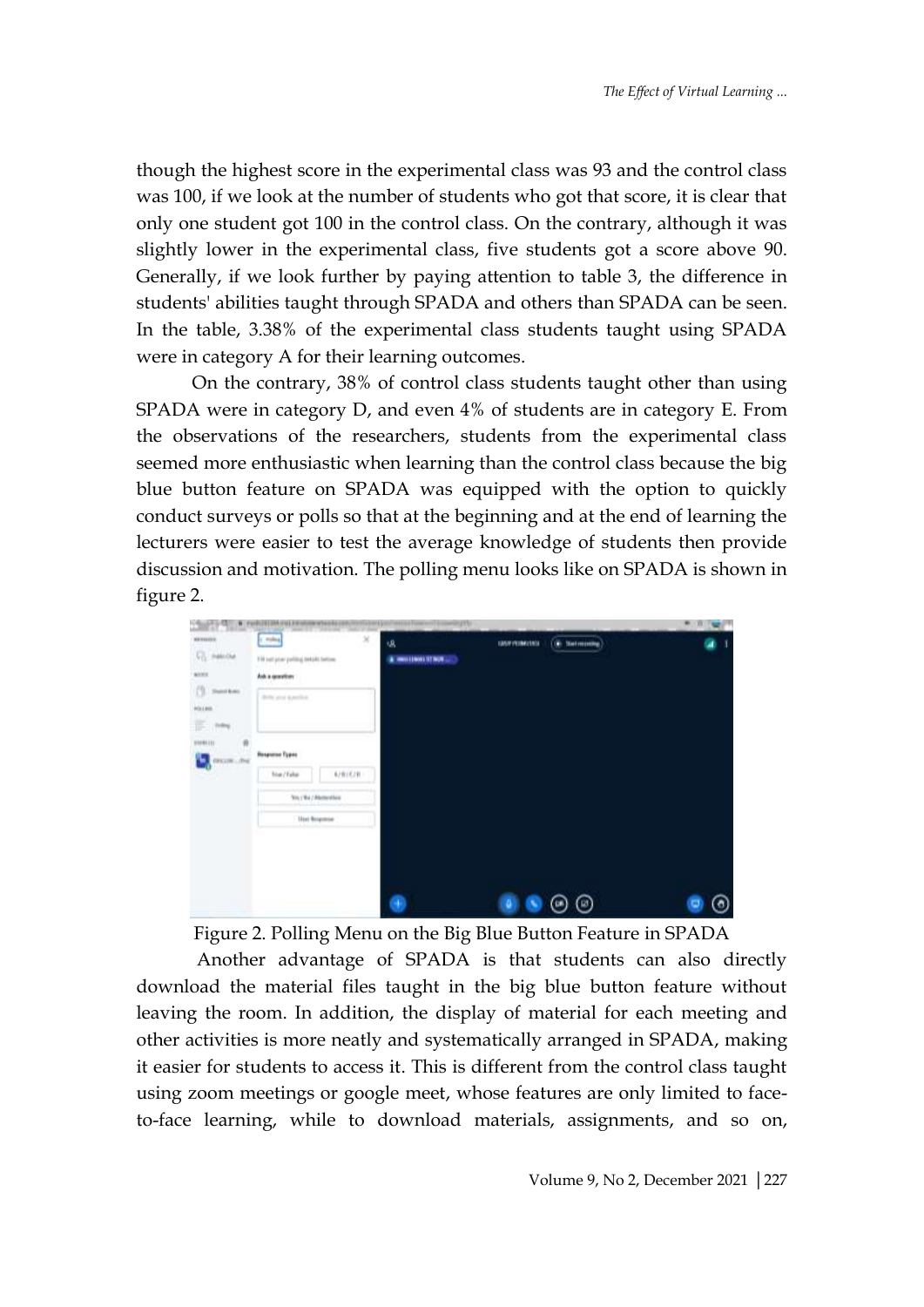though the highest score in the experimental class was 93 and the control class was 100, if we look at the number of students who got that score, it is clear that only one student got 100 in the control class. On the contrary, although it was slightly lower in the experimental class, five students got a score above 90. Generally, if we look further by paying attention to table 3, the difference in students' abilities taught through SPADA and others than SPADA can be seen. In the table, 3.38% of the experimental class students taught using SPADA were in category A for their learning outcomes.

On the contrary, 38% of control class students taught other than using SPADA were in category D, and even 4% of students are in category E. From the observations of the researchers, students from the experimental class seemed more enthusiastic when learning than the control class because the big blue button feature on SPADA was equipped with the option to quickly conduct surveys or polls so that at the beginning and at the end of learning the lecturers were easier to test the average knowledge of students then provide discussion and motivation. The polling menu looks like on SPADA is shown in figure 2.

| ٠                                                                                                                                  | Furth 101304 (Fol.2 Holmes or bands) con, to<br><b>SERVICES</b>                                 | ing the<br>,,,,,,,,,,,,,  |                                      | $\frac{1}{2}$ |
|------------------------------------------------------------------------------------------------------------------------------------|-------------------------------------------------------------------------------------------------|---------------------------|--------------------------------------|---------------|
| <b>NEWSFILM</b><br><b>C</b> HALOW<br><b>ADD</b><br>$(1)$ Section<br>Hitless.<br>Em<br>ø<br>13191111<br><b>DELTR  THE</b><br>5,<br> | C Police<br>Fill set year politing to talk betow.<br>Aska quantities<br>Britt's prod kyrestind. | ×<br>诋<br>MAILBOOK STAUN. | <b>C</b> Setmaning<br>GASPINING MALE |               |
|                                                                                                                                    | <b>Response Types</b><br>4/8/6/8<br>him / False                                                 |                           |                                      |               |
|                                                                                                                                    | Try / No / Abrienham                                                                            |                           |                                      |               |
|                                                                                                                                    | <b>Her freemse</b>                                                                              |                           |                                      |               |
|                                                                                                                                    |                                                                                                 | ۰                         | ◉<br>۵                               |               |

Figure 2. Polling Menu on the Big Blue Button Feature in SPADA

Another advantage of SPADA is that students can also directly download the material files taught in the big blue button feature without leaving the room. In addition, the display of material for each meeting and other activities is more neatly and systematically arranged in SPADA, making it easier for students to access it. This is different from the control class taught using zoom meetings or google meet, whose features are only limited to faceto-face learning, while to download materials, assignments, and so on,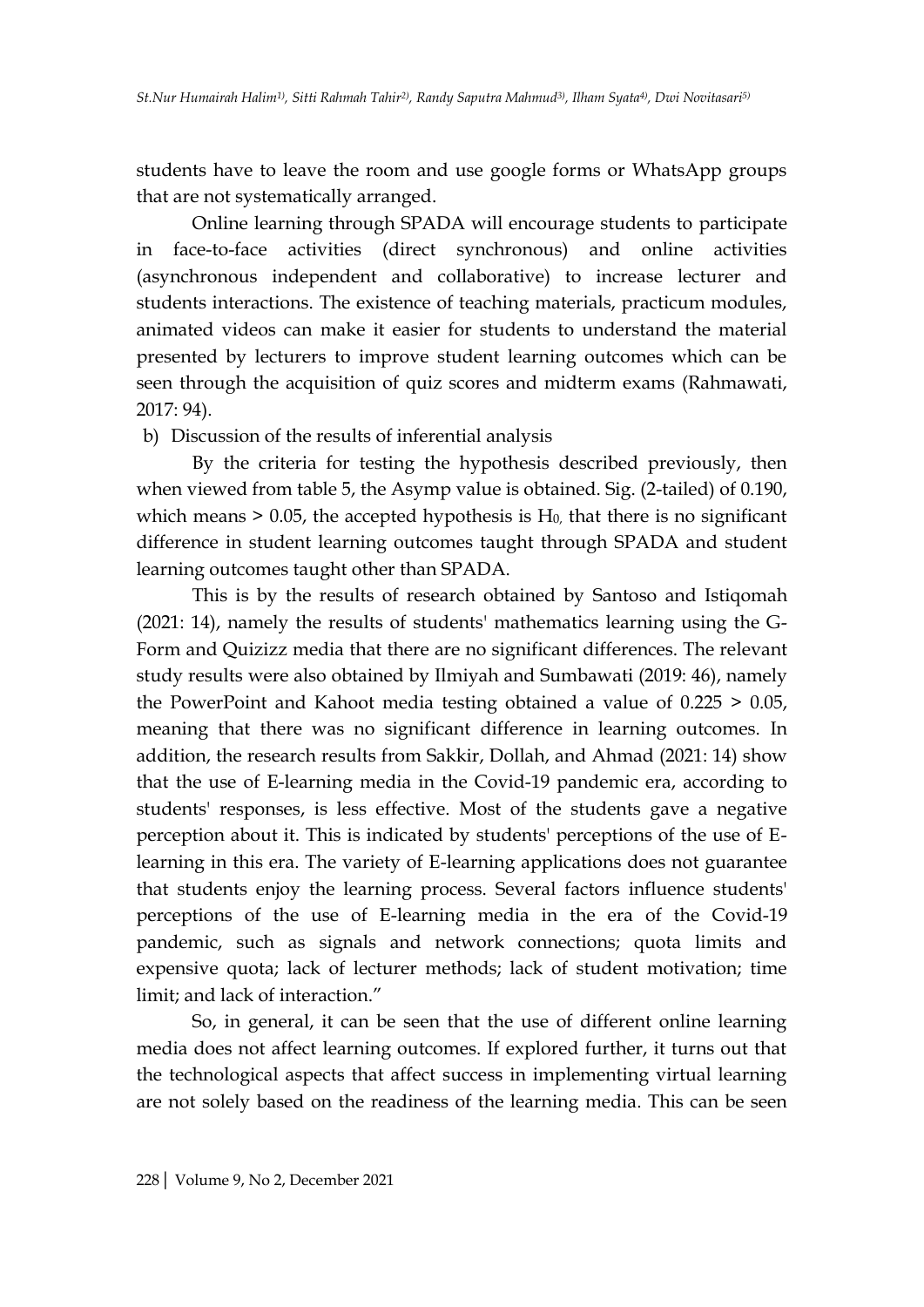students have to leave the room and use google forms or WhatsApp groups that are not systematically arranged.

Online learning through SPADA will encourage students to participate in face-to-face activities (direct synchronous) and online activities (asynchronous independent and collaborative) to increase lecturer and students interactions. The existence of teaching materials, practicum modules, animated videos can make it easier for students to understand the material presented by lecturers to improve student learning outcomes which can be seen through the acquisition of quiz scores and midterm exams (Rahmawati, 2017: 94).

b) Discussion of the results of inferential analysis

By the criteria for testing the hypothesis described previously, then when viewed from table 5, the Asymp value is obtained. Sig. (2-tailed) of 0.190, which means  $> 0.05$ , the accepted hypothesis is  $H_0$ , that there is no significant difference in student learning outcomes taught through SPADA and student learning outcomes taught other than SPADA.

This is by the results of research obtained by Santoso and Istiqomah (2021: 14), namely the results of students' mathematics learning using the G-Form and Quizizz media that there are no significant differences. The relevant study results were also obtained by Ilmiyah and Sumbawati (2019: 46), namely the PowerPoint and Kahoot media testing obtained a value of 0.225 > 0.05, meaning that there was no significant difference in learning outcomes. In addition, the research results from Sakkir, Dollah, and Ahmad (2021: 14) show that the use of E-learning media in the Covid-19 pandemic era, according to students' responses, is less effective. Most of the students gave a negative perception about it. This is indicated by students' perceptions of the use of Elearning in this era. The variety of E-learning applications does not guarantee that students enjoy the learning process. Several factors influence students' perceptions of the use of E-learning media in the era of the Covid-19 pandemic, such as signals and network connections; quota limits and expensive quota; lack of lecturer methods; lack of student motivation; time limit; and lack of interaction."

So, in general, it can be seen that the use of different online learning media does not affect learning outcomes. If explored further, it turns out that the technological aspects that affect success in implementing virtual learning are not solely based on the readiness of the learning media. This can be seen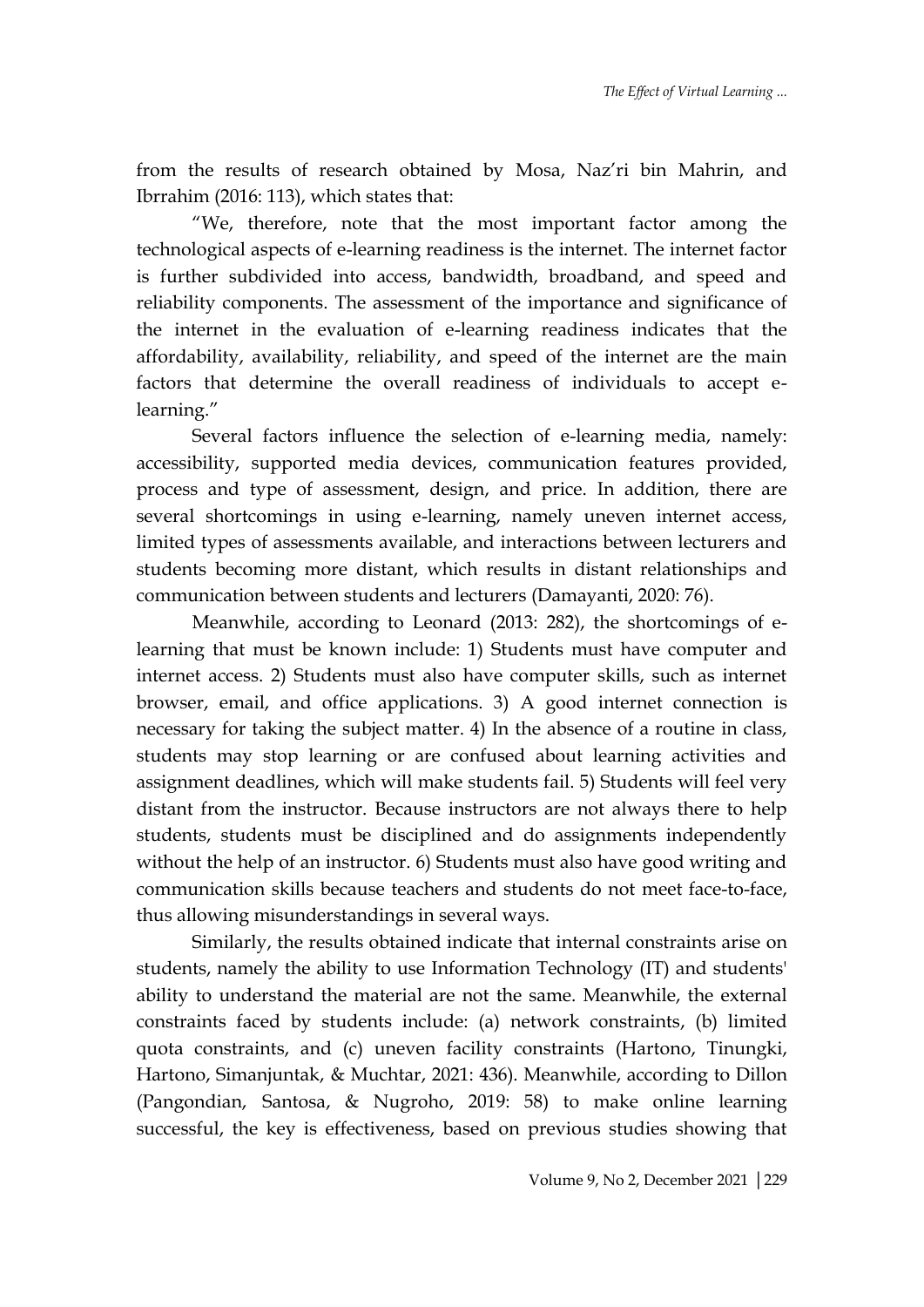from the results of research obtained by Mosa, Naz'ri bin Mahrin, and Ibrrahim (2016: 113), which states that:

"We, therefore, note that the most important factor among the technological aspects of e-learning readiness is the internet. The internet factor is further subdivided into access, bandwidth, broadband, and speed and reliability components. The assessment of the importance and significance of the internet in the evaluation of e-learning readiness indicates that the affordability, availability, reliability, and speed of the internet are the main factors that determine the overall readiness of individuals to accept elearning."

Several factors influence the selection of e-learning media, namely: accessibility, supported media devices, communication features provided, process and type of assessment, design, and price. In addition, there are several shortcomings in using e-learning, namely uneven internet access, limited types of assessments available, and interactions between lecturers and students becoming more distant, which results in distant relationships and communication between students and lecturers (Damayanti, 2020: 76).

Meanwhile, according to Leonard (2013: 282), the shortcomings of elearning that must be known include: 1) Students must have computer and internet access. 2) Students must also have computer skills, such as internet browser, email, and office applications. 3) A good internet connection is necessary for taking the subject matter. 4) In the absence of a routine in class, students may stop learning or are confused about learning activities and assignment deadlines, which will make students fail. 5) Students will feel very distant from the instructor. Because instructors are not always there to help students, students must be disciplined and do assignments independently without the help of an instructor. 6) Students must also have good writing and communication skills because teachers and students do not meet face-to-face, thus allowing misunderstandings in several ways.

Similarly, the results obtained indicate that internal constraints arise on students, namely the ability to use Information Technology (IT) and students' ability to understand the material are not the same. Meanwhile, the external constraints faced by students include: (a) network constraints, (b) limited quota constraints, and (c) uneven facility constraints (Hartono, Tinungki, Hartono, Simanjuntak, & Muchtar, 2021: 436). Meanwhile, according to Dillon (Pangondian, Santosa, & Nugroho, 2019: 58) to make online learning successful, the key is effectiveness, based on previous studies showing that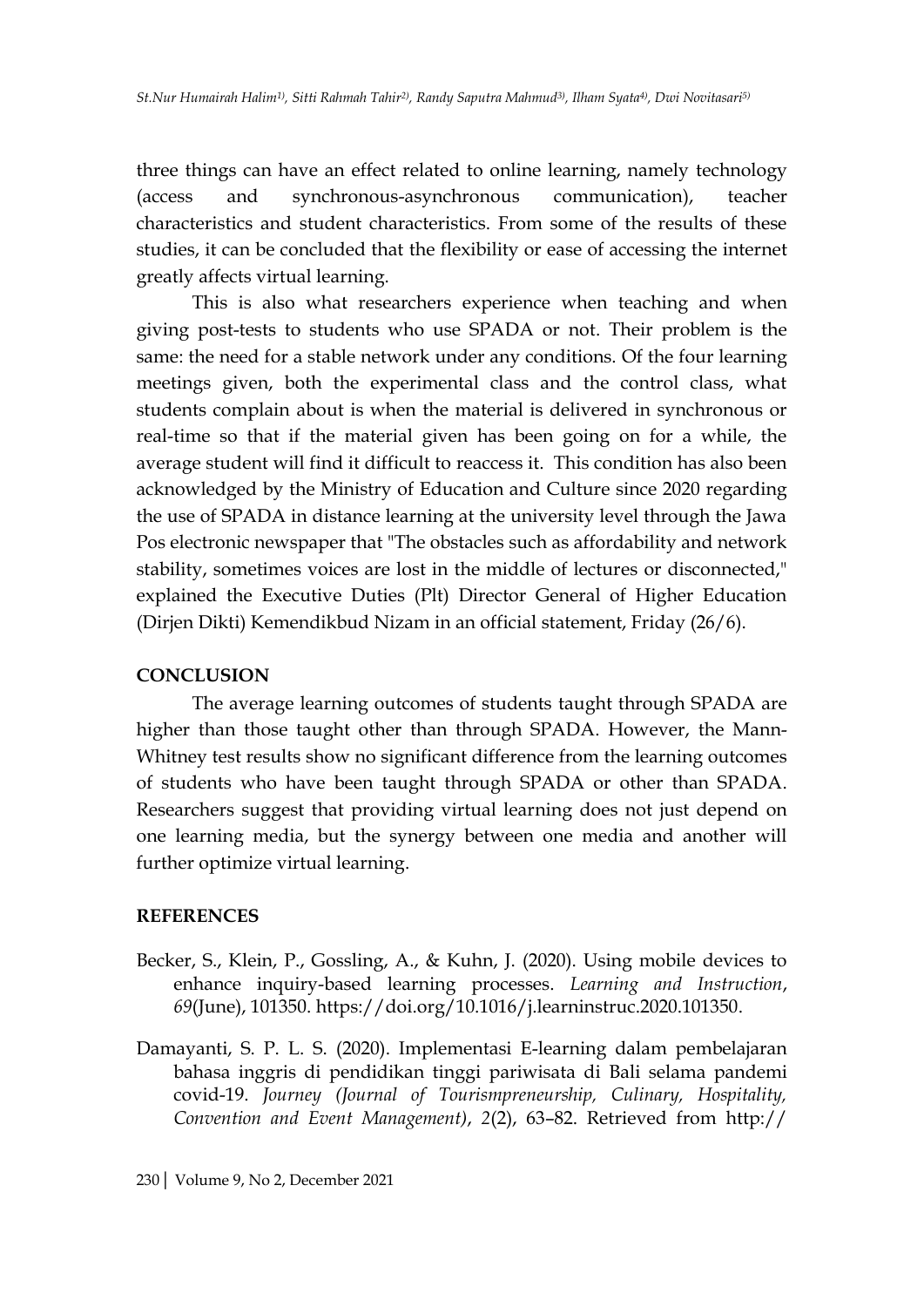three things can have an effect related to online learning, namely technology (access and synchronous-asynchronous communication), teacher characteristics and student characteristics. From some of the results of these studies, it can be concluded that the flexibility or ease of accessing the internet greatly affects virtual learning.

This is also what researchers experience when teaching and when giving post-tests to students who use SPADA or not. Their problem is the same: the need for a stable network under any conditions. Of the four learning meetings given, both the experimental class and the control class, what students complain about is when the material is delivered in synchronous or real-time so that if the material given has been going on for a while, the average student will find it difficult to reaccess it. This condition has also been acknowledged by the Ministry of Education and Culture since 2020 regarding the use of SPADA in distance learning at the university level through the Jawa Pos electronic newspaper that "The obstacles such as affordability and network stability, sometimes voices are lost in the middle of lectures or disconnected," explained the Executive Duties (Plt) Director General of Higher Education (Dirjen Dikti) Kemendikbud Nizam in an official statement, Friday (26/6).

#### **CONCLUSION**

The average learning outcomes of students taught through SPADA are higher than those taught other than through SPADA. However, the Mann-Whitney test results show no significant difference from the learning outcomes of students who have been taught through SPADA or other than SPADA. Researchers suggest that providing virtual learning does not just depend on one learning media, but the synergy between one media and another will further optimize virtual learning.

#### **REFERENCES**

- Becker, S., Klein, P., Gossling, A., & Kuhn, J. (2020). Using mobile devices to enhance inquiry-based learning processes. *Learning and Instruction*, *69*(June), 101350. https://doi.org/10.1016/j.learninstruc.2020.101350.
- Damayanti, S. P. L. S. (2020). Implementasi E-learning dalam pembelajaran bahasa inggris di pendidikan tinggi pariwisata di Bali selama pandemi covid-19. *Journey (Journal of Tourismpreneurship, Culinary, Hospitality, Convention and Event Management)*, *2*(2), 63–82. Retrieved from http://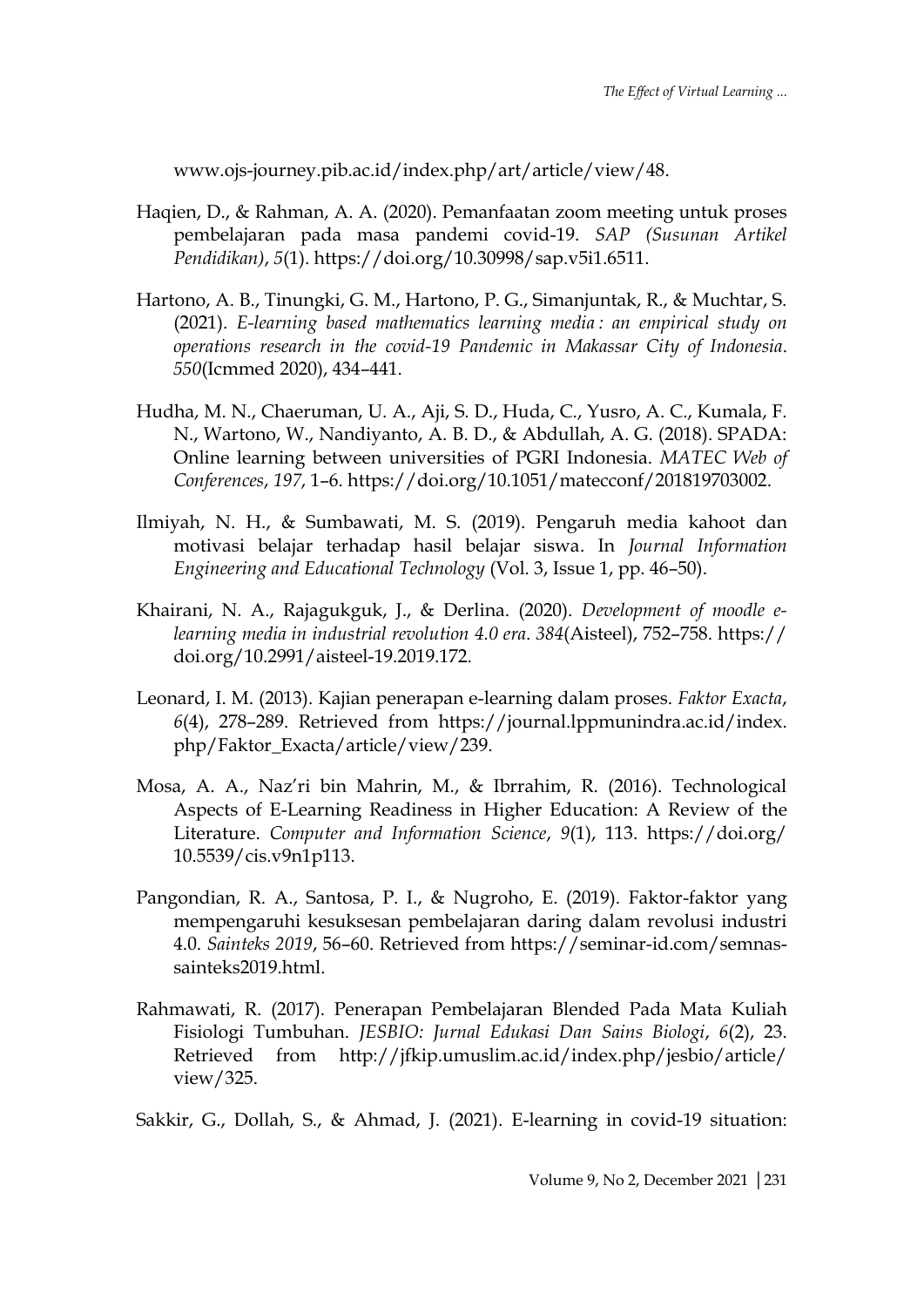www.ojs-journey.pib.ac.id/index.php/art/article/view/48.

- Haqien, D., & Rahman, A. A. (2020). Pemanfaatan zoom meeting untuk proses pembelajaran pada masa pandemi covid-19. *SAP (Susunan Artikel Pendidikan)*, *5*(1). https://doi.org/10.30998/sap.v5i1.6511.
- Hartono, A. B., Tinungki, G. M., Hartono, P. G., Simanjuntak, R., & Muchtar, S. (2021). *E-learning based mathematics learning media : an empirical study on operations research in the covid-19 Pandemic in Makassar City of Indonesia*. *550*(Icmmed 2020), 434–441.
- Hudha, M. N., Chaeruman, U. A., Aji, S. D., Huda, C., Yusro, A. C., Kumala, F. N., Wartono, W., Nandiyanto, A. B. D., & Abdullah, A. G. (2018). SPADA: Online learning between universities of PGRI Indonesia. *MATEC Web of Conferences*, *197*, 1–6. https://doi.org/10.1051/matecconf/201819703002.
- Ilmiyah, N. H., & Sumbawati, M. S. (2019). Pengaruh media kahoot dan motivasi belajar terhadap hasil belajar siswa. In *Journal Information Engineering and Educational Technology* (Vol. 3, Issue 1, pp. 46–50).
- Khairani, N. A., Rajagukguk, J., & Derlina. (2020). *Development of moodle elearning media in industrial revolution 4.0 era*. *384*(Aisteel), 752–758. https:// doi.org/10.2991/aisteel-19.2019.172.
- Leonard, I. M. (2013). Kajian penerapan e-learning dalam proses. *Faktor Exacta*, *6*(4), 278–289. Retrieved from https://journal.lppmunindra.ac.id/index. php/Faktor\_Exacta/article/view/239.
- Mosa, A. A., Naz'ri bin Mahrin, M., & Ibrrahim, R. (2016). Technological Aspects of E-Learning Readiness in Higher Education: A Review of the Literature. *Computer and Information Science*, *9*(1), 113. https://doi.org/ 10.5539/cis.v9n1p113.
- Pangondian, R. A., Santosa, P. I., & Nugroho, E. (2019). Faktor-faktor yang mempengaruhi kesuksesan pembelajaran daring dalam revolusi industri 4.0. *Sainteks 2019*, 56–60. Retrieved from https://seminar-id.com/semnassainteks2019.html.
- Rahmawati, R. (2017). Penerapan Pembelajaran Blended Pada Mata Kuliah Fisiologi Tumbuhan. *JESBIO: Jurnal Edukasi Dan Sains Biologi*, *6*(2), 23. Retrieved from http://jfkip.umuslim.ac.id/index.php/jesbio/article/ view/325.

Sakkir, G., Dollah, S., & Ahmad, J. (2021). E-learning in covid-19 situation: